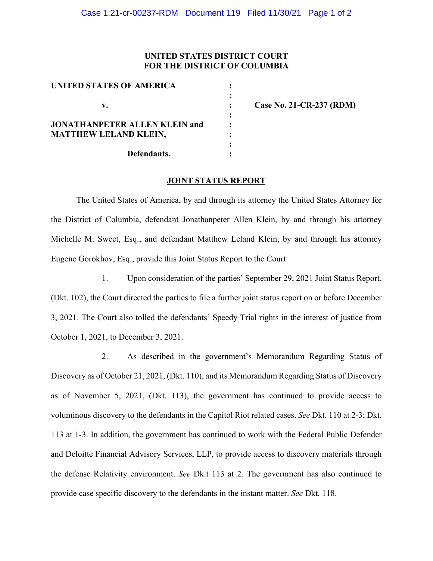## **UNITED STATES DISTRICT COURT FOR THE DISTRICT OF COLUMBIA**

| UNITED STATES OF AMERICA             |  |
|--------------------------------------|--|
|                                      |  |
| V.                                   |  |
|                                      |  |
| <b>JONATHANPETER ALLEN KLEIN and</b> |  |
| <b>MATTHEW LELAND KLEIN,</b>         |  |
|                                      |  |
| Defendants.                          |  |

**v. : Case No. 21-CR-237 (RDM)**

## **JOINT STATUS REPORT**

The United States of America, by and through its attorney the United States Attorney for the District of Columbia, defendant Jonathanpeter Allen Klein, by and through his attorney Michelle M. Sweet, Esq., and defendant Matthew Leland Klein, by and through his attorney Eugene Gorokhov, Esq., provide this Joint Status Report to the Court.

1. Upon consideration of the parties' September 29, 2021 Joint Status Report, (Dkt. 102), the Court directed the parties to file a further joint status report on or before December 3, 2021. The Court also tolled the defendants' Speedy Trial rights in the interest of justice from October 1, 2021, to December 3, 2021.

2. As described in the government's Memorandum Regarding Status of Discovery as of October 21, 2021, (Dkt. 110), and its Memorandum Regarding Status of Discovery as of November 5, 2021, (Dkt. 113), the government has continued to provide access to voluminous discovery to the defendants in the Capitol Riot related cases. *See* Dkt. 110 at 2-3; Dkt. 113 at 1-3. In addition, the government has continued to work with the Federal Public Defender and Deloitte Financial Advisory Services, LLP, to provide access to discovery materials through the defense Relativity environment. *See* Dk.t 113 at 2. The government has also continued to provide case specific discovery to the defendants in the instant matter. *See* Dkt. 118.